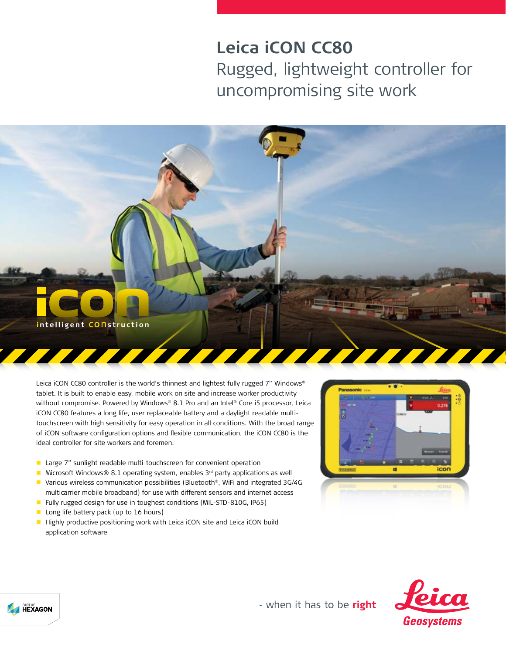## **Leica iCON CC80**

Rugged, lightweight controller for uncompromising site work



Leica iCON CC80 controller is the world's thinnest and lightest fully rugged 7" Windows® tablet. It is built to enable easy, mobile work on site and increase worker productivity without compromise. Powered by Windows® 8.1 Pro and an Intel® Core i5 processor, Leica iCON CC80 features a long life, user replaceable battery and a daylight readable multitouchscreen with high sensitivity for easy operation in all conditions. With the broad range of iCON software configuration options and flexible communication, the iCON CC80 is the ideal controller for site workers and foremen.

- **Large 7"** sunlight readable multi-touchscreen for convenient operation
- Microsoft Windows® 8.1 operating system, enables  $3<sup>rd</sup>$  party applications as well
- Various wireless communication possibilities (Bluetooth®, WiFi and integrated 3G/4G multicarrier mobile broadband) for use with different sensors and internet access
- Fully rugged design for use in toughest conditions (MIL-STD-810G, IP65)
- **Long life battery pack (up to 16 hours)**

**A HEXAGON** 

Highly productive positioning work with Leica iCON site and Leica iCON build application software





- when it has to be right